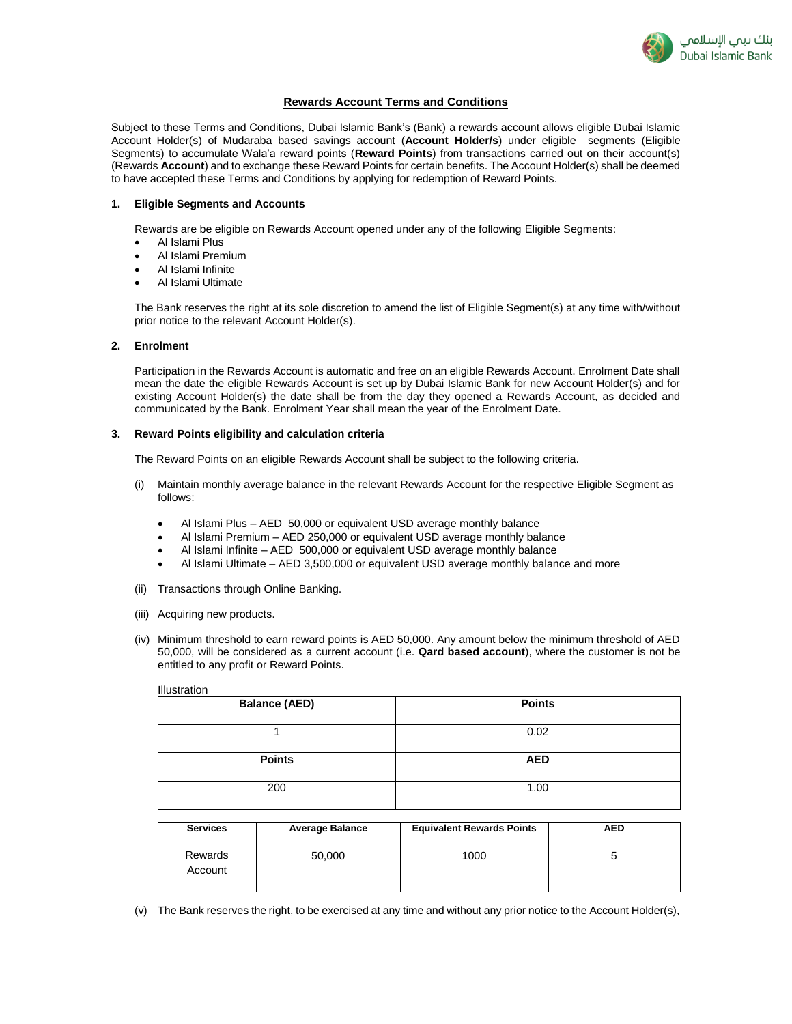

# **Rewards Account Terms and Conditions**

Subject to these Terms and Conditions, Dubai Islamic Bank's (Bank) a rewards account allows eligible Dubai Islamic Account Holder(s) of Mudaraba based savings account (**Account Holder/s**) under eligible segments (Eligible Segments) to accumulate Wala'a reward points (**Reward Points**) from transactions carried out on their account(s) (Rewards **Account**) and to exchange these Reward Points for certain benefits. The Account Holder(s) shall be deemed to have accepted these Terms and Conditions by applying for redemption of Reward Points.

#### **1. Eligible Segments and Accounts**

Rewards are be eligible on Rewards Account opened under any of the following Eligible Segments:

- Al Islami Plus
- Al Islami Premium
- Al Islami Infinite
- Al Islami Ultimate

The Bank reserves the right at its sole discretion to amend the list of Eligible Segment(s) at any time with/without prior notice to the relevant Account Holder(s).

### **2. Enrolment**

Participation in the Rewards Account is automatic and free on an eligible Rewards Account. Enrolment Date shall mean the date the eligible Rewards Account is set up by Dubai Islamic Bank for new Account Holder(s) and for existing Account Holder(s) the date shall be from the day they opened a Rewards Account, as decided and communicated by the Bank. Enrolment Year shall mean the year of the Enrolment Date.

## **3. Reward Points eligibility and calculation criteria**

The Reward Points on an eligible Rewards Account shall be subject to the following criteria.

- (i) Maintain monthly average balance in the relevant Rewards Account for the respective Eligible Segment as follows:
	- Al Islami Plus AED 50,000 or equivalent USD average monthly balance
	- Al Islami Premium AED 250,000 or equivalent USD average monthly balance
	- Al Islami Infinite AED 500,000 or equivalent USD average monthly balance
	- Al Islami Ultimate AED 3,500,000 or equivalent USD average monthly balance and more
- (ii) Transactions through Online Banking.
- (iii) Acquiring new products.
- (iv) Minimum threshold to earn reward points is AED 50,000. Any amount below the minimum threshold of AED 50,000, will be considered as a current account (i.e. **Qard based account**), where the customer is not be entitled to any profit or Reward Points.

| Illustration         |               |  |
|----------------------|---------------|--|
| <b>Balance (AED)</b> | <b>Points</b> |  |
|                      |               |  |
|                      | 0.02          |  |
|                      |               |  |
| <b>Points</b>        | <b>AED</b>    |  |
|                      |               |  |
| 200                  | 1.00          |  |
|                      |               |  |

| <b>Services</b>    | <b>Average Balance</b> | <b>Equivalent Rewards Points</b> | <b>AED</b> |
|--------------------|------------------------|----------------------------------|------------|
| Rewards<br>Account | 50,000                 | 1000                             |            |

(v) The Bank reserves the right, to be exercised at any time and without any prior notice to the Account Holder(s),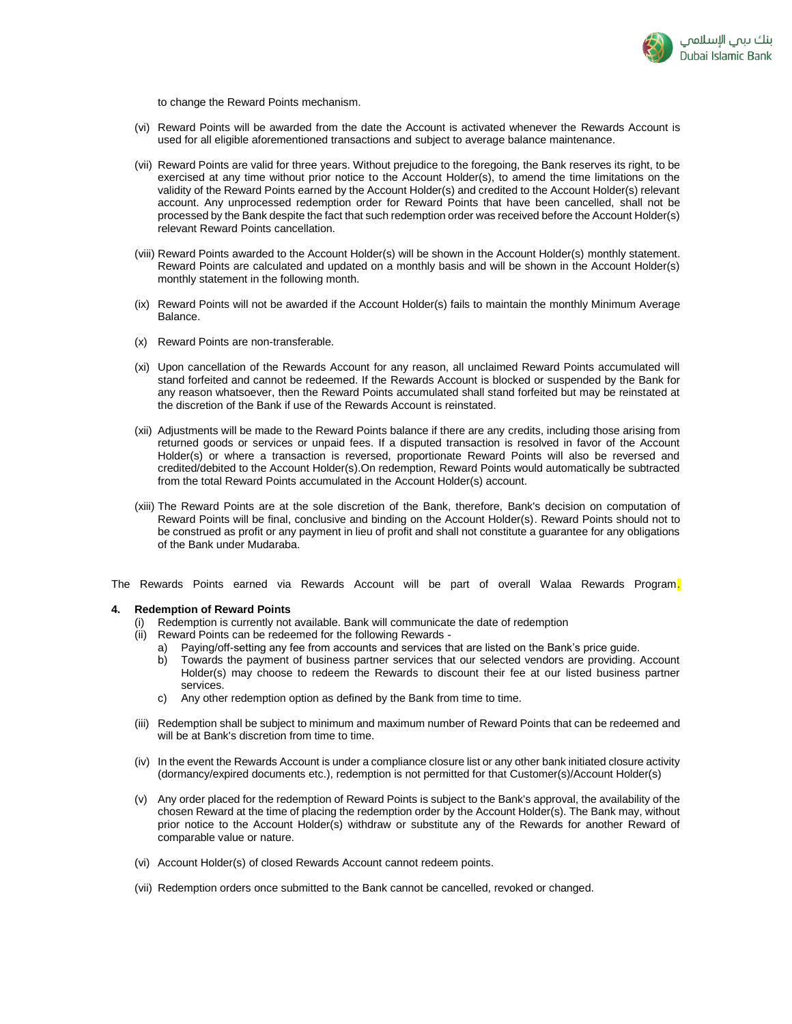

to change the Reward Points mechanism.

- (vi) Reward Points will be awarded from the date the Account is activated whenever the Rewards Account is used for all eligible aforementioned transactions and subject to average balance maintenance.
- (vii) Reward Points are valid for three years. Without prejudice to the foregoing, the Bank reserves its right, to be exercised at any time without prior notice to the Account Holder(s), to amend the time limitations on the validity of the Reward Points earned by the Account Holder(s) and credited to the Account Holder(s) relevant account. Any unprocessed redemption order for Reward Points that have been cancelled, shall not be processed by the Bank despite the fact that such redemption order was received before the Account Holder(s) relevant Reward Points cancellation.
- (viii) Reward Points awarded to the Account Holder(s) will be shown in the Account Holder(s) monthly statement. Reward Points are calculated and updated on a monthly basis and will be shown in the Account Holder(s) monthly statement in the following month.
- (ix) Reward Points will not be awarded if the Account Holder(s) fails to maintain the monthly Minimum Average Balance.
- (x) Reward Points are non-transferable.
- (xi) Upon cancellation of the Rewards Account for any reason, all unclaimed Reward Points accumulated will stand forfeited and cannot be redeemed. If the Rewards Account is blocked or suspended by the Bank for any reason whatsoever, then the Reward Points accumulated shall stand forfeited but may be reinstated at the discretion of the Bank if use of the Rewards Account is reinstated.
- (xii) Adjustments will be made to the Reward Points balance if there are any credits, including those arising from returned goods or services or unpaid fees. If a disputed transaction is resolved in favor of the Account Holder(s) or where a transaction is reversed, proportionate Reward Points will also be reversed and credited/debited to the Account Holder(s).On redemption, Reward Points would automatically be subtracted from the total Reward Points accumulated in the Account Holder(s) account.
- (xiii) The Reward Points are at the sole discretion of the Bank, therefore, Bank's decision on computation of Reward Points will be final, conclusive and binding on the Account Holder(s). Reward Points should not to be construed as profit or any payment in lieu of profit and shall not constitute a guarantee for any obligations of the Bank under Mudaraba.

The Rewards Points earned via Rewards Account will be part of overall Walaa Rewards Program.

#### **4. Redemption of Reward Points**

- Redemption is currently not available. Bank will communicate the date of redemption
- (ii) Reward Points can be redeemed for the following Rewards
	- a) Paying/off-setting any fee from accounts and services that are listed on the Bank's price guide.
	- b) Towards the payment of business partner services that our selected vendors are providing. Account Holder(s) may choose to redeem the Rewards to discount their fee at our listed business partner services.
	- c) Any other redemption option as defined by the Bank from time to time.
- (iii) Redemption shall be subject to minimum and maximum number of Reward Points that can be redeemed and will be at Bank's discretion from time to time.
- (iv) In the event the Rewards Account is under a compliance closure list or any other bank initiated closure activity (dormancy/expired documents etc.), redemption is not permitted for that Customer(s)/Account Holder(s)
- (v) Any order placed for the redemption of Reward Points is subject to the Bank's approval, the availability of the chosen Reward at the time of placing the redemption order by the Account Holder(s). The Bank may, without prior notice to the Account Holder(s) withdraw or substitute any of the Rewards for another Reward of comparable value or nature.
- (vi) Account Holder(s) of closed Rewards Account cannot redeem points.
- (vii) Redemption orders once submitted to the Bank cannot be cancelled, revoked or changed.